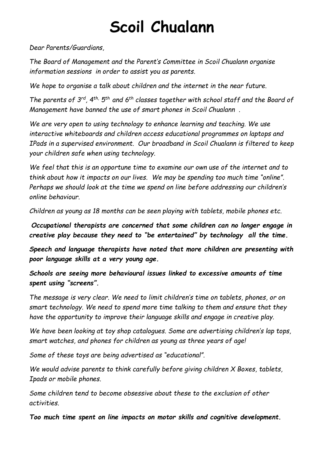# **Scoil Chualann**

*Dear Parents/Guardians,*

*The Board of Management and the Parent's Committee in Scoil Chualann organise information sessions in order to assist you as parents.*

*We hope to organise a talk about children and the internet in the near future.*

*The parents of 3<sup>rd</sup>, 4<sup>th,</sup> 5<sup>th</sup> and 6<sup>th</sup> classes together with school staff and the Board of Management have banned the use of smart phones in Scoil Chualann .* 

*We are very open to using technology to enhance learning and teaching. We use interactive whiteboards and children access educational programmes on laptops and IPads in a supervised environment. Our broadband in Scoil Chualann is filtered to keep your children safe when using technology.* 

*We feel that this is an opportune time to examine our own use of the internet and to think about how it impacts on our lives. We may be spending too much time "online". Perhaps we should look at the time we spend on line before addressing our children's online behaviour.*

*Children as young as 18 months can be seen playing with tablets, mobile phones etc.* 

*Occupational therapists are concerned that some children can no longer engage in creative play because they need to "be entertained" by technology all the time.*

*Speech and language therapists have noted that more children are presenting with poor language skills at a very young age.* 

*Schools are seeing more behavioural issues linked to excessive amounts of time spent using "screens".*

*The message is very clear. We need to limit children's time on tablets, phones, or on smart technology. We need to spend more time talking to them and ensure that they have the opportunity to improve their language skills and engage in creative play.*

*We have been looking at toy shop catalogues. Some are advertising children's lap tops, smart watches, and phones for children as young as three years of age!*

*Some of these toys are being advertised as "educational".* 

*We would advise parents to think carefully before giving children X Boxes, tablets, Ipads or mobile phones.*

*Some children tend to become obsessive about these to the exclusion of other activities.*

*Too much time spent on line impacts on motor skills and cognitive development.*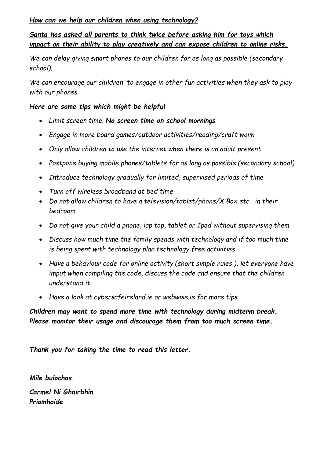### *How can we help our children when using technology?*

## *Santa has asked all parents to think twice before asking him for toys which impact on their ability to play creatively and can expose children to online risks.*

*We can delay giving smart phones to our children for as long as possible (secondary school).*

*We can encourage our children to engage in other fun activities when they ask to play with our phones.*

#### *Here are some tips which might be helpful*

- *Limit screen time. No screen time on school mornings*
- *Engage in more board games/outdoor activities/reading/craft work*
- *Only allow children to use the internet when there is an adult present*
- *Postpone buying mobile phones/tablets for as long as possible (secondary school)*
- *Introduce technology gradually for limited, supervised periods of time*
- *Turn off wireless broadband at bed time*
- *Do not allow children to have a television/tablet/phone/X Box etc. in their bedroom*
- *Do not give your child a phone, lap top, tablet or Ipad without supervising them*
- *Discuss how much time the family spends with technology and if too much time is being spent with technology plan technology free activities*
- *Have a behaviour code for online activity (short simple rules ), let everyone have imput when compiling the code, discuss the code and ensure that the children understand it*
- *Have a look at cybersafeireland.ie or webwise.ie for more tips*

*Children may want to spend more time with technology during midterm break. Please monitor their usage and discourage them from too much screen time.*

*Thank you for taking the time to read this letter.*

*Míle buíochas. Carmel Ní Ghairbhín Príomhoide*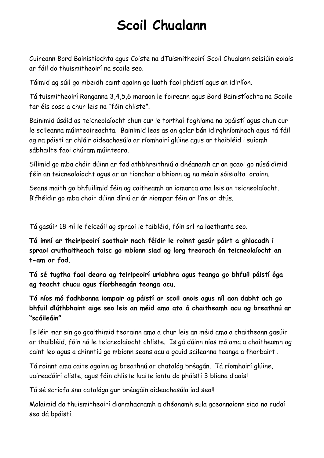# **Scoil Chualann**

Cuireann Bord Bainistíochta agus Coiste na dTuismitheoirí Scoil Chualann seisiúin eolais ar fáil do thuismitheoirí na scoile seo.

Táimid ag súil go mbeidh caint againn go luath faoi pháistí agus an idirlíon.

Tá tuismitheoirí Ranganna 3,4,5,6 maraon le foireann agus Bord Bainistíochta na Scoile tar éis cosc a chur leis na "fóin chliste".

Bainimid úsáid as teicneolaíocht chun cur le torthaí foghlama na bpáistí agus chun cur le scileanna múinteoireachta. Bainimid leas as an gclar bán idirghníomhach agus tá fáil ag na páistí ar chláir oideachasúla ar ríomhairí glúine agus ar thaibléid i suíomh sábhailte faoi chúram múinteora.

Sílimid go mba chóir dúinn ar fad athbhreithniú a dhéanamh ar an gcaoi go núsáidimid féin an teicneolaíocht agus ar an tionchar a bhíonn ag na méain sóisialta orainn.

Seans maith go bhfuilimid féin ag caitheamh an iomarca ama leis an teicneolaíocht. B'fhéidir go mba choir dúinn díriú ar ár niompar féin ar líne ar dtús.

Tá gasúir 18 mí le feiceáil ag spraoi le taibléid, fóin srl na laethanta seo.

**Tá imní ar theiripeoirí saothair nach féidir le roinnt gasúr páirt a ghlacadh i spraoi cruthaitheach toisc go mbíonn siad ag lorg treorach ón teicneolaíocht an t-am ar fad.**

**Tá sé tugtha faoi deara ag teiripeoirí urlabhra agus teanga go bhfuil páistí óga ag teacht chucu agus fíorbheagán teanga acu.** 

**Tá níos mó fadhbanna iompair ag páistí ar scoil anois agus níl aon dabht ach go bhfuil dlúthbhaint aige seo leis an méid ama ata á chaitheamh acu ag breathnú ar "scáileáin"**

Is léir mar sin go gcaithimid teorainn ama a chur leis an méid ama a chaitheann gasúir ar thaibléid, fóin nó le teicneolaíocht chliste. Is gá dúinn níos mó ama a chaitheamh ag caint leo agus a chinntiú go mbíonn seans acu a gcuid scileanna teanga a fhorbairt .

Tá roinnt ama caite againn ag breathnú ar chatalóg bréagán. Tá ríomhairí glúine, uaireadóirí cliste, agus fóin chliste luaite iontu do pháistí 3 bliana d'aois!

Tá sé scríofa sna catalóga gur bréagáin oideachasúla iad seo!!

Molaimid do thuismitheoirí dianmhacnamh a dhéanamh sula gceannaíonn siad na rudaí seo dá bpáistí.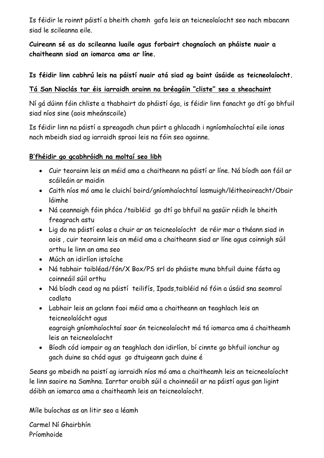Is féidir le roinnt páistí a bheith chomh gafa leis an teicneolaíocht seo nach mbacann siad le scileanna eile.

**Cuireann sé as do scileanna luaile agus forbairt chognaíoch an pháiste nuair a chaitheann siad an iomarca ama ar líne.**

### **Is féidir linn cabhrú leis na páistí nuair atá siad ag baint úsáide as teicneolaíocht.**

### **Tá San Nioclás tar éis iarraidh orainn na bréagáin "cliste" seo a sheachaint**

Ní gá dúinn fóin chliste a thabhairt do pháistí óga, is féidir linn fanacht go dtí go bhfuil siad níos sine (aois mheánscoile)

Is féidir linn na páistí a spreagadh chun páirt a ghlacadh i ngníomhaíochtaí eile ionas nach mbeidh siad ag iarraidh spraoi leis na fóin seo againne.

### **B'fhéidir go gcabhróidh na moltaí seo libh**

- Cuir teorainn leis an méid ama a chaitheann na páistí ar líne. Ná bíodh aon fáil ar scáileáin ar maidin
- Caith níos mó ama le cluichí boird/gníomhaíochtaí lasmuigh/léitheoireacht/Obair láimhe
- Ná ceannaigh fóin phóca /taibléid go dtí go bhfuil na gasúir réidh le bheith freagrach astu
- Lig do na páistí eolas a chuir ar an teicneolaíocht de réir mar a théann siad in aois , cuir teorainn leis an méid ama a chaitheann siad ar líne agus coinnigh súil orthu le linn an ama seo
- Múch an idirlíon istoíche
- Ná tabhair taibléad/fón/X Box/PS srl do pháiste muna bhfuil duine fásta ag coinneáil súil orthu
- Ná bíodh cead ag na páistí teilifís, Ipads,taibléid nó fóin a úsáid sna seomraí codlata
- Labhair leis an gclann faoi méid ama a chaitheann an teaghlach leis an teicneolaíócht agus eagraigh gníomhaíochtaí saor ón teicneolaíocht má tá iomarca ama á chaitheamh leis an teicneolaíocht
- Bíodh cód iompair ag an teaghlach don idirlíon, bí cinnte go bhfuil ionchur ag gach duine sa chód agus go dtuigeann gach duine é

Seans go mbeidh na paistí ag iarraidh níos mó ama a chaitheamh leis an teicneolaíocht le linn saoire na Samhna. Iarrtar oraibh súil a choinneáil ar na páistí agus gan ligint dóibh an iomarca ama a chaitheamh leis an teicneolaíocht.

Míle buíochas as an litir seo a léamh

Carmel Ní Ghairbhín Príomhoide